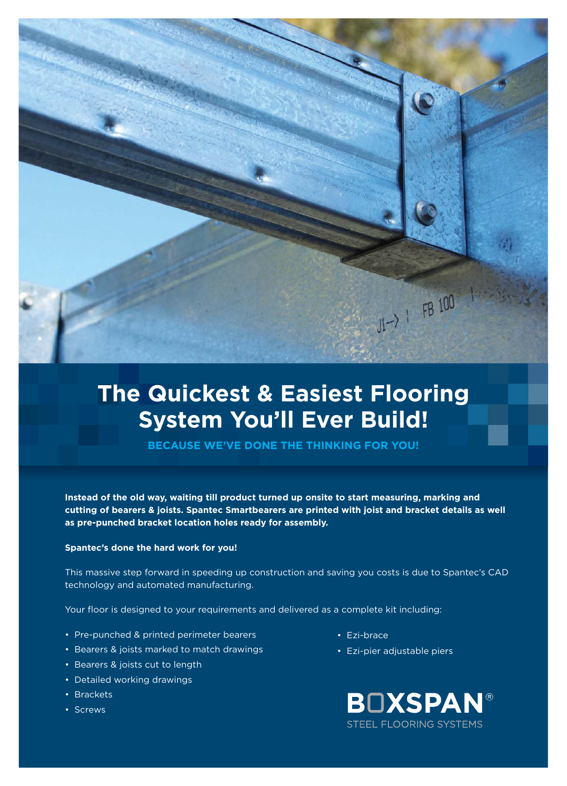

## The Quickest & Easiest Flooring **System You'll Ever Build!**

BECAUSE WE'VE DONE THE THINKING FOR YOU!

Instead of the old way, waiting till product turned up onsite to start measuring, marking and cutting of bearers & joists. Spantec Smartbearers are printed with joist and bracket details as well as pre-punched bracket location holes ready for assembly.

## Spantec's done the hard work for you!

This massive step forward in speeding up construction and saving you costs is due to Spantec's CAD technology and automated manufacturing.

Your floor is designed to your requirements and delivered as a complete kit including:

- Pre-punched & printed perimeter bearers
- Bearers & joists marked to match drawings
- Bearers & joists cut to length
- Detailed working drawings
- Brackets
- Screws
- Ezi-brace
- Ezi-pier adjustable piers